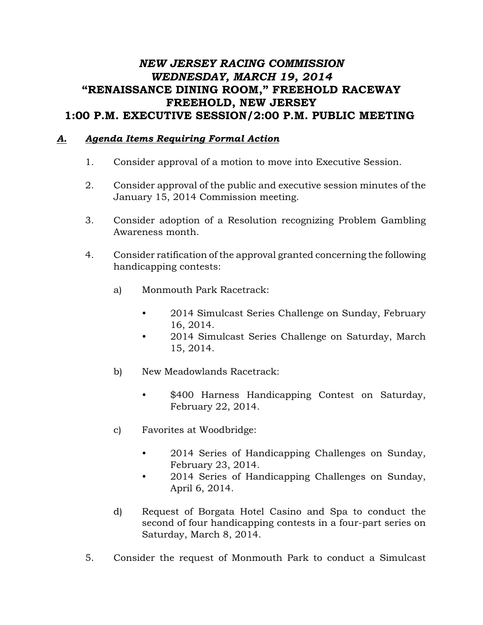## *NEW JERSEY RACING COMMISSION WEDNESDAY, MARCH 19, 2014* "RENAISSANCE DINING ROOM," FREEHOLD RACEWAY FREEHOLD, NEW JERSEY 1:00 P.M. EXECUTIVE SESSION/2:00 P.M. PUBLIC MEETING

## *A. Agenda Items Requiring Formal Action*

- 1. Consider approval of a motion to move into Executive Session.
- 2. Consider approval of the public and executive session minutes of the January 15, 2014 Commission meeting.
- 3. Consider adoption of a Resolution recognizing Problem Gambling Awareness month.
- 4. Consider ratification of the approval granted concerning the following handicapping contests:
	- a) Monmouth Park Racetrack:
		- 2014 Simulcast Series Challenge on Sunday, February 16, 2014.
		- 2014 Simulcast Series Challenge on Saturday, March 15, 2014.
	- b) New Meadowlands Racetrack:
		- \$400 Harness Handicapping Contest on Saturday, February 22, 2014.
	- c) Favorites at Woodbridge:
		- 2014 Series of Handicapping Challenges on Sunday, February 23, 2014.
		- 2014 Series of Handicapping Challenges on Sunday, April 6, 2014.
	- d) Request of Borgata Hotel Casino and Spa to conduct the second of four handicapping contests in a four-part series on Saturday, March 8, 2014.
- 5. Consider the request of Monmouth Park to conduct a Simulcast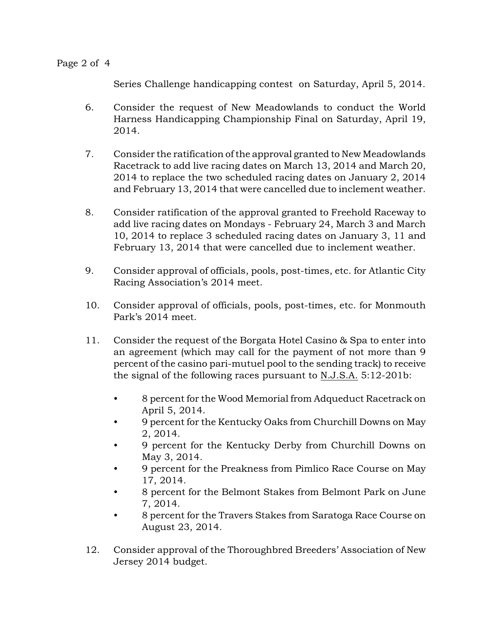Series Challenge handicapping contest on Saturday, April 5, 2014.

- 6. Consider the request of New Meadowlands to conduct the World Harness Handicapping Championship Final on Saturday, April 19, 2014.
- 7. Consider the ratification of the approval granted to New Meadowlands Racetrack to add live racing dates on March 13, 2014 and March 20, 2014 to replace the two scheduled racing dates on January 2, 2014 and February 13, 2014 that were cancelled due to inclement weather.
- 8. Consider ratification of the approval granted to Freehold Raceway to add live racing dates on Mondays - February 24, March 3 and March 10, 2014 to replace 3 scheduled racing dates on January 3, 11 and February 13, 2014 that were cancelled due to inclement weather.
- 9. Consider approval of officials, pools, post-times, etc. for Atlantic City Racing Association's 2014 meet.
- 10. Consider approval of officials, pools, post-times, etc. for Monmouth Park's 2014 meet.
- 11. Consider the request of the Borgata Hotel Casino & Spa to enter into an agreement (which may call for the payment of not more than 9 percent of the casino pari-mutuel pool to the sending track) to receive the signal of the following races pursuant to N.J.S.A. 5:12-201b:
	- 8 percent for the Wood Memorial from Adqueduct Racetrack on April 5, 2014.
	- 9 percent for the Kentucky Oaks from Churchill Downs on May 2, 2014.
	- 9 percent for the Kentucky Derby from Churchill Downs on May 3, 2014.
	- 9 percent for the Preakness from Pimlico Race Course on May 17, 2014.
	- 8 percent for the Belmont Stakes from Belmont Park on June 7, 2014.
	- 8 percent for the Travers Stakes from Saratoga Race Course on August 23, 2014.
- 12. Consider approval of the Thoroughbred Breeders' Association of New Jersey 2014 budget.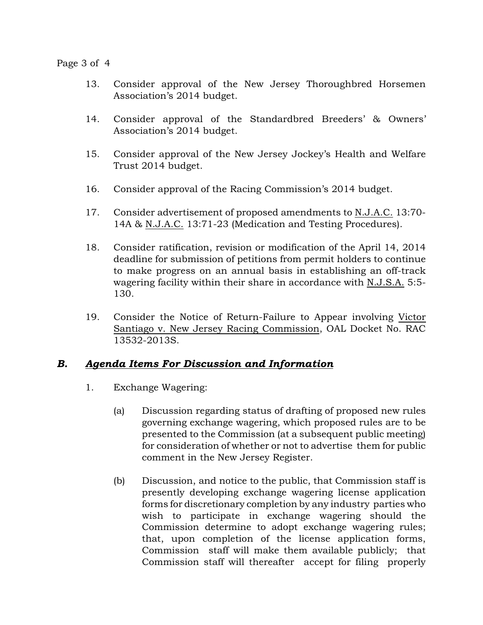## Page 3 of 4

- 13. Consider approval of the New Jersey Thoroughbred Horsemen Association's 2014 budget.
- 14. Consider approval of the Standardbred Breeders' & Owners' Association's 2014 budget.
- 15. Consider approval of the New Jersey Jockey's Health and Welfare Trust 2014 budget.
- 16. Consider approval of the Racing Commission's 2014 budget.
- 17. Consider advertisement of proposed amendments to N.J.A.C. 13:70- 14A & N.J.A.C. 13:71-23 (Medication and Testing Procedures).
- 18. Consider ratification, revision or modification of the April 14, 2014 deadline for submission of petitions from permit holders to continue to make progress on an annual basis in establishing an off-track wagering facility within their share in accordance with N.J.S.A. 5:5- 130.
- 19. Consider the Notice of Return-Failure to Appear involving Victor Santiago v. New Jersey Racing Commission, OAL Docket No. RAC 13532-2013S.

## *B. Agenda Items For Discussion and Information*

- 1. Exchange Wagering:
	- (a) Discussion regarding status of drafting of proposed new rules governing exchange wagering, which proposed rules are to be presented to the Commission (at a subsequent public meeting) for consideration of whether or not to advertise them for public comment in the New Jersey Register.
	- (b) Discussion, and notice to the public, that Commission staff is presently developing exchange wagering license application forms for discretionary completion by any industry parties who wish to participate in exchange wagering should the Commission determine to adopt exchange wagering rules; that, upon completion of the license application forms, Commission staff will make them available publicly; that Commission staff will thereafter accept for filing properly